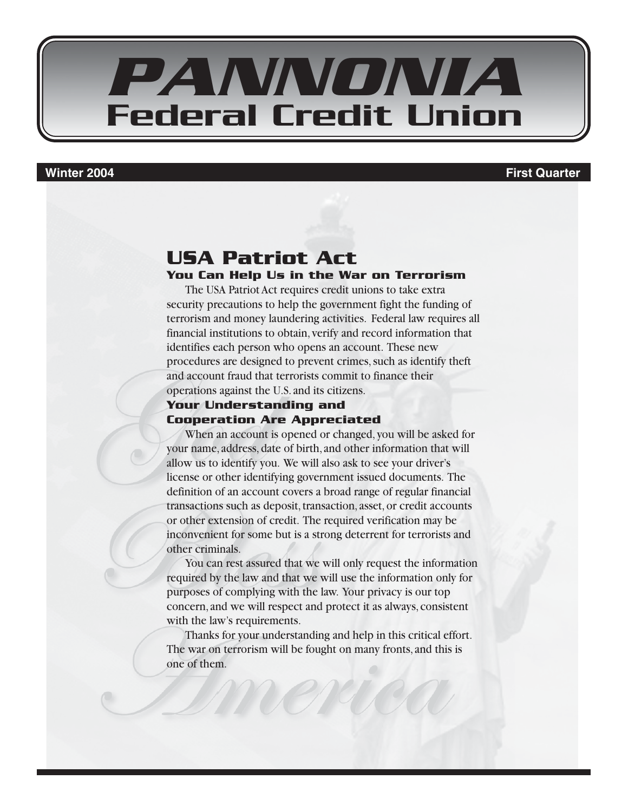

#### **Winter 2004 First Quarter**

#### **USA Patriot Act You Can Help Us in the War on Terrorism**

The USA Patriot Act requires credit unions to take extra security precautions to help the government fight the funding of terrorism and money laundering activities. Federal law requires all financial institutions to obtain, verify and record information that identifies each person who opens an account. These new procedures are designed to prevent crimes, such as identify theft and account fraud that terrorists commit to finance their operations against the U.S. and its citizens.

#### **Your Understanding and Cooperation Are Appreciated**

When an account is opened or changed, you will be asked for your name, address, date of birth, and other information that will allow us to identify you. We will also ask to see your driver's license or other identifying government issued documents. The definition of an account covers a broad range of regular financial transactions such as deposit, transaction, asset, or credit accounts or other extension of credit. The required verification may be inconvenient for some but is a strong deterrent for terrorists and other criminals.

You can rest assured that we will only request the information required by the law and that we will use the information only for purposes of complying with the law. Your privacy is our top concern, and we will respect and protect it as always, consistent with the law's requirements.

Thanks for your understanding and help in this critical effort. The war on terrorism will be fought on many fronts, and this is one of them.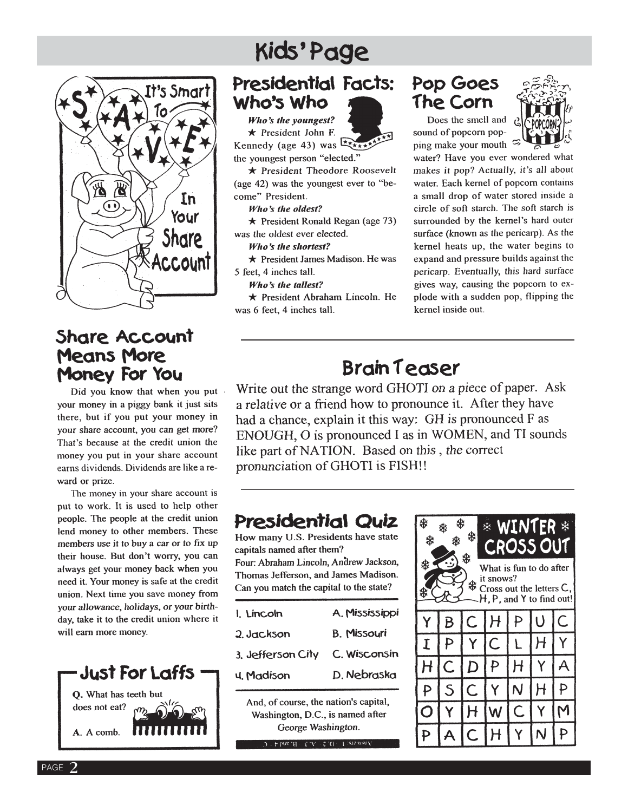# t's Smart In  $\widehat{\mathbf{G}}$ Your Share Account

### Share Account **Means More** Money For You

Did you know that when you put your money in a piggy bank it just sits there, but if you put your money in your share account, you can get more? That's because at the credit union the money you put in your share account earns dividends. Dividends are like a reward or prize.

The money in your share account is put to work. It is used to help other people. The people at the credit union lend money to other members. These members use it to buy a car or to fix up their house. But don't worry, you can always get your money back when you need it. Your money is safe at the credit union. Next time you save money from your allowance, holidays, or your birthday, take it to the credit union where it will earn more money.



PAGE

# Kids'Page

## Presidential Facts: Who's Who

Who's the voungest?  $\star$  President John F. Kennedy (age 43) was  $\frac{1}{x}$ the youngest person "elected."

★ President Theodore Roosevelt (age 42) was the youngest ever to "become" President.

Who's the oldest?

 $\star$  President Ronald Regan (age 73) was the oldest ever elected.

Who's the shortest?

★ President James Madison. He was 5 feet, 4 inches tall.

Who's the tallest?

★ President Abraham Lincoln. He was 6 feet, 4 inches tall.

### Pop Goes The Corn

Does the smell and sound of popcorn popping make your mouth  $\approx$ 



water? Have you ever wondered what makes it pop? Actually, it's all about water. Each kernel of popcorn contains a small drop of water stored inside a circle of soft starch. The soft starch is surrounded by the kernel's hard outer surface (known as the pericarp). As the kernel heats up, the water begins to expand and pressure builds against the pericarp. Eventually, this hard surface gives way, causing the popcorn to explode with a sudden pop, flipping the kernel inside out.

# **Brain Teaser**

Write out the strange word GHOTI on a piece of paper. Ask a relative or a friend how to pronounce it. After they have had a chance, explain it this way: GH is pronounced F as ENOUGH, O is pronounced I as in WOMEN, and TI sounds like part of NATION. Based on this, the correct pronunciation of GHOTI is FISH!!

# Presidential Quiz

How many U.S. Presidents have state capitals named after them? Four: Abraham Lincoln, Andrew Jackson, Thomas Jefferson, and James Madison. Can you match the capital to the state?

A. Mississippi I. Lincoln **B. Missouri** 2. Jackson C. Wisconsin 3. Jefferson City D. Nebraska **u.** Madison

And, of course, the nation's capital, Washington, D.C., is named after George Washington.

 $D +$  Linn  $H - \xi$  ,  $A = \xi$  ,  $A = 1$  is<br>to men.

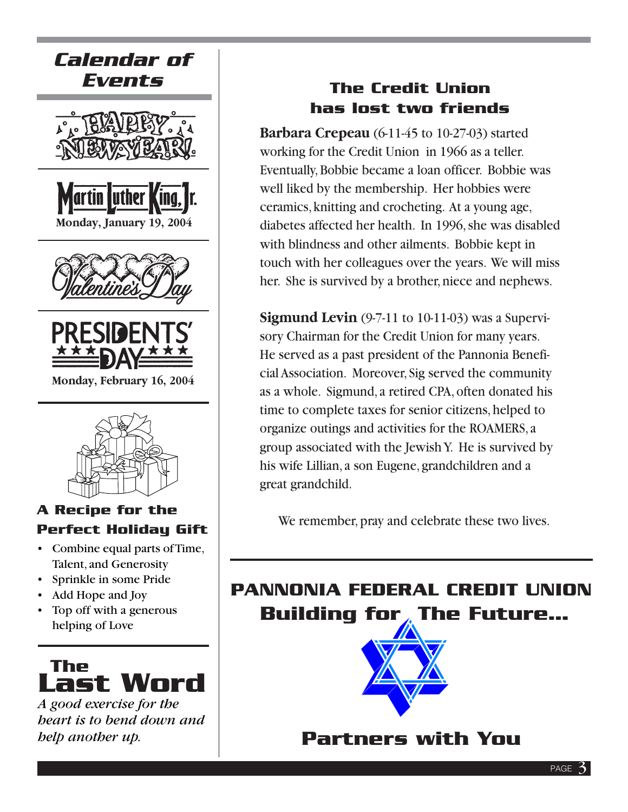

- Combine equal parts of Time, Talent, and Generosity
- Sprinkle in some Pride
- Add Hope and Joy
- Top off with a generous helping of Love



*A good exercise for the heart is to bend down and help another up.*

## **The Credit Union has lost two friends**

**Barbara Crepeau** (6-11-45 to 10-27-03) started working for the Credit Union in 1966 as a teller. Eventually, Bobbie became a loan officer. Bobbie was well liked by the membership. Her hobbies were ceramics, knitting and crocheting. At a young age, diabetes affected her health. In 1996, she was disabled with blindness and other ailments. Bobbie kept in touch with her colleagues over the years. We will miss her. She is survived by a brother, niece and nephews.

**Sigmund Levin** (9-7-11 to 10-11-03) was a Supervisory Chairman for the Credit Union for many years. He served as a past president of the Pannonia Beneficial Association. Moreover, Sig served the community as a whole. Sigmund, a retired CPA, often donated his time to complete taxes for senior citizens, helped to organize outings and activities for the ROAMERS, a group associated with the Jewish Y. He is survived by his wife Lillian, a son Eugene, grandchildren and a great grandchild.

# **PANNONIA FEDERAL CREDIT UNION Building for The Future…**



# **Partners with You**